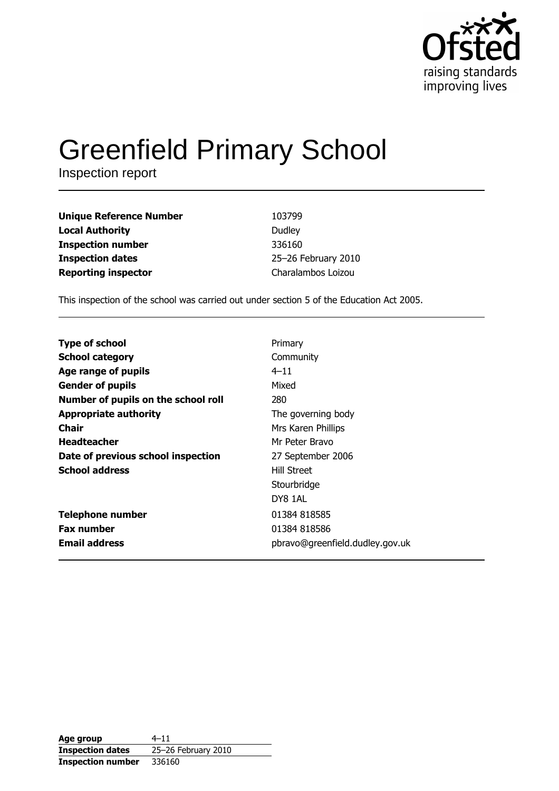

# **Greenfield Primary School**

Inspection report

| <b>Unique Reference Number</b> | 103799              |
|--------------------------------|---------------------|
| <b>Local Authority</b>         | Dudley              |
| <b>Inspection number</b>       | 336160              |
| <b>Inspection dates</b>        | 25-26 February 2010 |
| <b>Reporting inspector</b>     | Charalambos Loizou  |

This inspection of the school was carried out under section 5 of the Education Act 2005.

| <b>Type of school</b>               | Primary                         |
|-------------------------------------|---------------------------------|
| <b>School category</b>              | Community                       |
| Age range of pupils                 | $4 - 11$                        |
| <b>Gender of pupils</b>             | Mixed                           |
| Number of pupils on the school roll | 280                             |
| <b>Appropriate authority</b>        | The governing body              |
| Chair                               | Mrs Karen Phillips              |
| <b>Headteacher</b>                  | Mr Peter Bravo                  |
| Date of previous school inspection  | 27 September 2006               |
| <b>School address</b>               | <b>Hill Street</b>              |
|                                     | Stourbridge                     |
|                                     | DY8 1AL                         |
| <b>Telephone number</b>             | 01384 818585                    |
| <b>Fax number</b>                   | 01384 818586                    |
| <b>Email address</b>                | pbravo@greenfield.dudley.gov.uk |

| Age group                | $4 - 11$            |
|--------------------------|---------------------|
| <b>Inspection dates</b>  | 25-26 February 2010 |
| <b>Inspection number</b> | 336160              |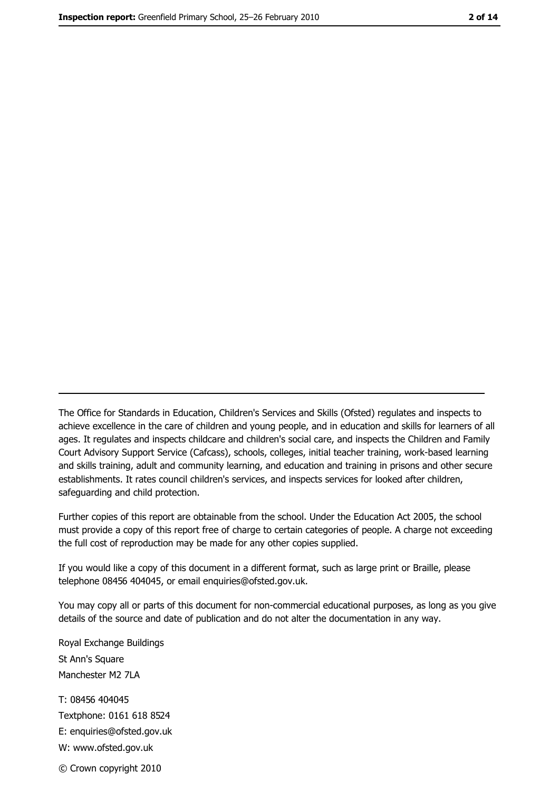The Office for Standards in Education, Children's Services and Skills (Ofsted) regulates and inspects to achieve excellence in the care of children and young people, and in education and skills for learners of all ages. It regulates and inspects childcare and children's social care, and inspects the Children and Family Court Advisory Support Service (Cafcass), schools, colleges, initial teacher training, work-based learning and skills training, adult and community learning, and education and training in prisons and other secure establishments. It rates council children's services, and inspects services for looked after children, safequarding and child protection.

Further copies of this report are obtainable from the school. Under the Education Act 2005, the school must provide a copy of this report free of charge to certain categories of people. A charge not exceeding the full cost of reproduction may be made for any other copies supplied.

If you would like a copy of this document in a different format, such as large print or Braille, please telephone 08456 404045, or email enquiries@ofsted.gov.uk.

You may copy all or parts of this document for non-commercial educational purposes, as long as you give details of the source and date of publication and do not alter the documentation in any way.

Royal Exchange Buildings St Ann's Square Manchester M2 7LA T: 08456 404045 Textphone: 0161 618 8524 E: enquiries@ofsted.gov.uk W: www.ofsted.gov.uk © Crown copyright 2010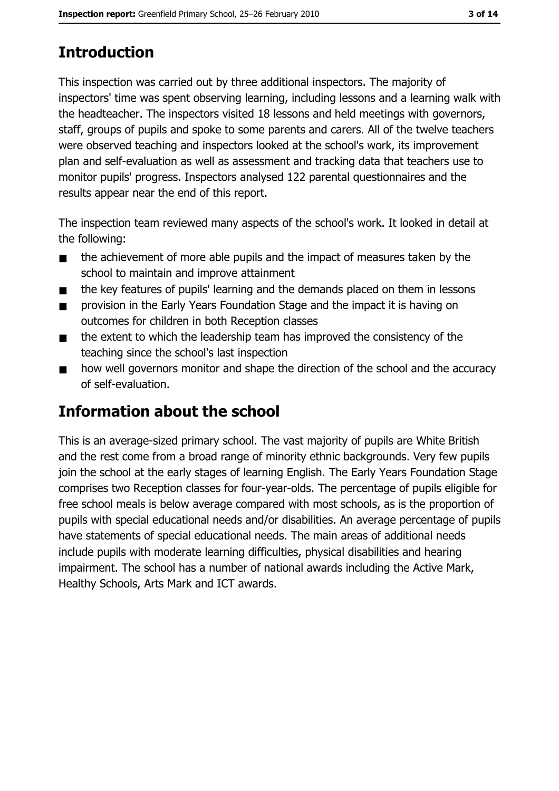# **Introduction**

This inspection was carried out by three additional inspectors. The majority of inspectors' time was spent observing learning, including lessons and a learning walk with the headteacher. The inspectors visited 18 lessons and held meetings with governors, staff, groups of pupils and spoke to some parents and carers. All of the twelve teachers were observed teaching and inspectors looked at the school's work, its improvement plan and self-evaluation as well as assessment and tracking data that teachers use to monitor pupils' progress. Inspectors analysed 122 parental questionnaires and the results appear near the end of this report.

The inspection team reviewed many aspects of the school's work. It looked in detail at the following:

- the achievement of more able pupils and the impact of measures taken by the  $\blacksquare$ school to maintain and improve attainment
- the key features of pupils' learning and the demands placed on them in lessons  $\blacksquare$
- provision in the Early Years Foundation Stage and the impact it is having on  $\blacksquare$ outcomes for children in both Reception classes
- the extent to which the leadership team has improved the consistency of the  $\blacksquare$ teaching since the school's last inspection
- how well governors monitor and shape the direction of the school and the accuracy  $\blacksquare$ of self-evaluation.

## Information about the school

This is an average-sized primary school. The vast majority of pupils are White British and the rest come from a broad range of minority ethnic backgrounds. Very few pupils join the school at the early stages of learning English. The Early Years Foundation Stage comprises two Reception classes for four-year-olds. The percentage of pupils eligible for free school meals is below average compared with most schools, as is the proportion of pupils with special educational needs and/or disabilities. An average percentage of pupils have statements of special educational needs. The main areas of additional needs include pupils with moderate learning difficulties, physical disabilities and hearing impairment. The school has a number of national awards including the Active Mark, Healthy Schools, Arts Mark and ICT awards.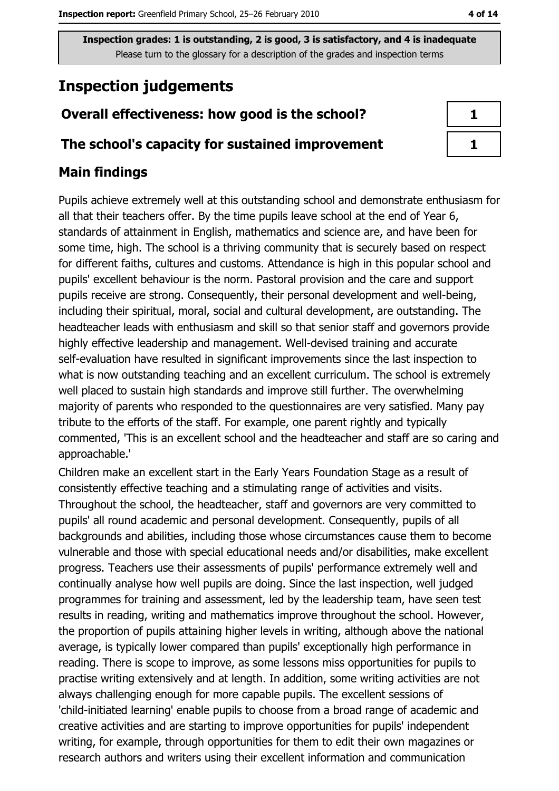# **Inspection judgements**

## Overall effectiveness: how good is the school?

## The school's capacity for sustained improvement

## **Main findings**

Pupils achieve extremely well at this outstanding school and demonstrate enthusiasm for all that their teachers offer. By the time pupils leave school at the end of Year 6, standards of attainment in English, mathematics and science are, and have been for some time, high. The school is a thriving community that is securely based on respect for different faiths, cultures and customs. Attendance is high in this popular school and pupils' excellent behaviour is the norm. Pastoral provision and the care and support pupils receive are strong. Consequently, their personal development and well-being, including their spiritual, moral, social and cultural development, are outstanding. The headteacher leads with enthusiasm and skill so that senior staff and governors provide highly effective leadership and management. Well-devised training and accurate self-evaluation have resulted in significant improvements since the last inspection to what is now outstanding teaching and an excellent curriculum. The school is extremely well placed to sustain high standards and improve still further. The overwhelming majority of parents who responded to the questionnaires are very satisfied. Many pay tribute to the efforts of the staff. For example, one parent rightly and typically commented, 'This is an excellent school and the headteacher and staff are so caring and approachable.'

Children make an excellent start in the Early Years Foundation Stage as a result of consistently effective teaching and a stimulating range of activities and visits. Throughout the school, the headteacher, staff and governors are very committed to pupils' all round academic and personal development. Consequently, pupils of all backgrounds and abilities, including those whose circumstances cause them to become vulnerable and those with special educational needs and/or disabilities, make excellent progress. Teachers use their assessments of pupils' performance extremely well and continually analyse how well pupils are doing. Since the last inspection, well judged programmes for training and assessment, led by the leadership team, have seen test results in reading, writing and mathematics improve throughout the school. However, the proportion of pupils attaining higher levels in writing, although above the national average, is typically lower compared than pupils' exceptionally high performance in reading. There is scope to improve, as some lessons miss opportunities for pupils to practise writing extensively and at length. In addition, some writing activities are not always challenging enough for more capable pupils. The excellent sessions of 'child-initiated learning' enable pupils to choose from a broad range of academic and creative activities and are starting to improve opportunities for pupils' independent writing, for example, through opportunities for them to edit their own magazines or research authors and writers using their excellent information and communication

| ٦ |
|---|
| ٦ |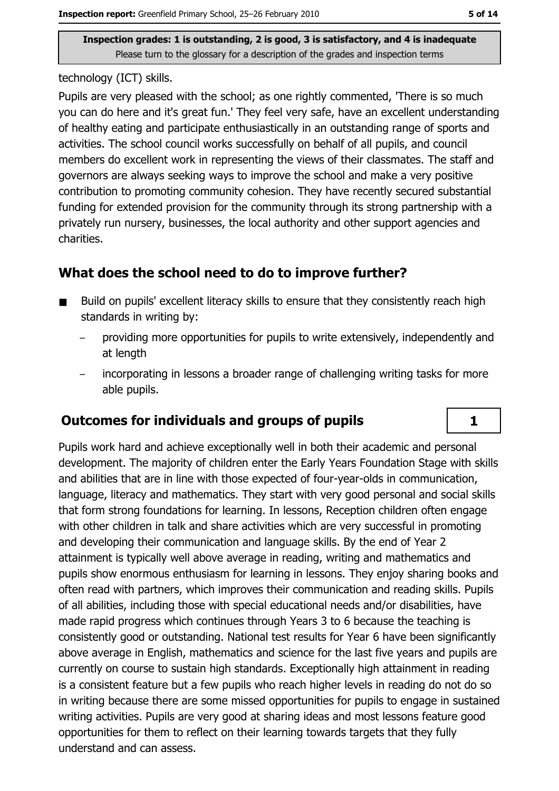technology (ICT) skills.

Pupils are very pleased with the school; as one rightly commented, 'There is so much you can do here and it's great fun.' They feel very safe, have an excellent understanding of healthy eating and participate enthusiastically in an outstanding range of sports and activities. The school council works successfully on behalf of all pupils, and council members do excellent work in representing the views of their classmates. The staff and governors are always seeking ways to improve the school and make a very positive contribution to promoting community cohesion. They have recently secured substantial funding for extended provision for the community through its strong partnership with a privately run nursery, businesses, the local authority and other support agencies and charities.

## What does the school need to do to improve further?

- Build on pupils' excellent literacy skills to ensure that they consistently reach high  $\blacksquare$ standards in writing by:
	- providing more opportunities for pupils to write extensively, independently and at length
	- incorporating in lessons a broader range of challenging writing tasks for more able pupils.

## **Outcomes for individuals and groups of pupils**

Pupils work hard and achieve exceptionally well in both their academic and personal development. The majority of children enter the Early Years Foundation Stage with skills and abilities that are in line with those expected of four-vear-olds in communication, language, literacy and mathematics. They start with very good personal and social skills that form strong foundations for learning. In lessons, Reception children often engage with other children in talk and share activities which are very successful in promoting and developing their communication and language skills. By the end of Year 2 attainment is typically well above average in reading, writing and mathematics and pupils show enormous enthusiasm for learning in lessons. They enjoy sharing books and often read with partners, which improves their communication and reading skills. Pupils of all abilities, including those with special educational needs and/or disabilities, have made rapid progress which continues through Years 3 to 6 because the teaching is consistently good or outstanding. National test results for Year 6 have been significantly above average in English, mathematics and science for the last five years and pupils are currently on course to sustain high standards. Exceptionally high attainment in reading is a consistent feature but a few pupils who reach higher levels in reading do not do so in writing because there are some missed opportunities for pupils to engage in sustained writing activities. Pupils are very good at sharing ideas and most lessons feature good opportunities for them to reflect on their learning towards targets that they fully understand and can assess.

 $\mathbf{1}$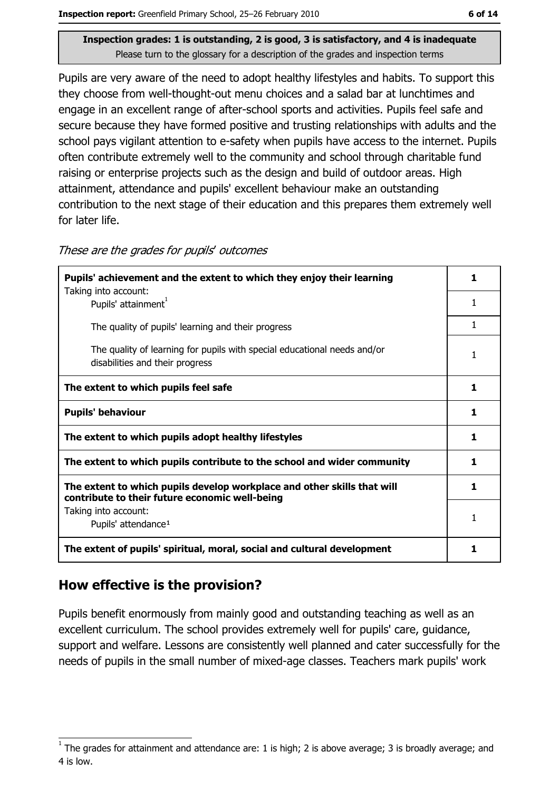Pupils are very aware of the need to adopt healthy lifestyles and habits. To support this they choose from well-thought-out menu choices and a salad bar at lunchtimes and engage in an excellent range of after-school sports and activities. Pupils feel safe and secure because they have formed positive and trusting relationships with adults and the school pays vigilant attention to e-safety when pupils have access to the internet. Pupils often contribute extremely well to the community and school through charitable fund raising or enterprise projects such as the design and build of outdoor areas. High attainment, attendance and pupils' excellent behaviour make an outstanding contribution to the next stage of their education and this prepares them extremely well for later life.

These are the grades for pupils' outcomes

| Pupils' achievement and the extent to which they enjoy their learning                                                     |    |  |
|---------------------------------------------------------------------------------------------------------------------------|----|--|
| Taking into account:<br>Pupils' attainment <sup>1</sup>                                                                   |    |  |
| The quality of pupils' learning and their progress                                                                        | 1  |  |
| The quality of learning for pupils with special educational needs and/or<br>disabilities and their progress               | 1  |  |
| The extent to which pupils feel safe                                                                                      | 1  |  |
| <b>Pupils' behaviour</b>                                                                                                  | 1  |  |
| The extent to which pupils adopt healthy lifestyles                                                                       | 1  |  |
| The extent to which pupils contribute to the school and wider community                                                   |    |  |
| The extent to which pupils develop workplace and other skills that will<br>contribute to their future economic well-being | 1. |  |
| Taking into account:<br>Pupils' attendance <sup>1</sup>                                                                   | 1  |  |
| The extent of pupils' spiritual, moral, social and cultural development                                                   | 1  |  |

## How effective is the provision?

Pupils benefit enormously from mainly good and outstanding teaching as well as an excellent curriculum. The school provides extremely well for pupils' care, guidance, support and welfare. Lessons are consistently well planned and cater successfully for the needs of pupils in the small number of mixed-age classes. Teachers mark pupils' work

The grades for attainment and attendance are: 1 is high; 2 is above average; 3 is broadly average; and 4 is low.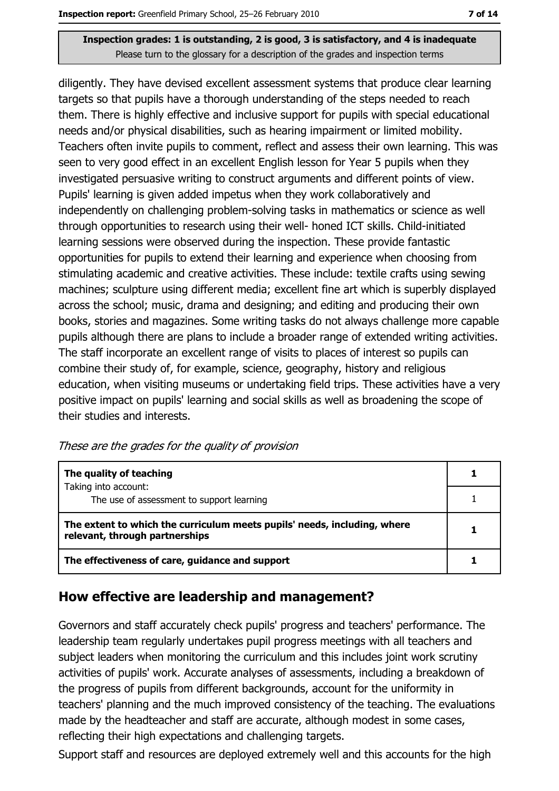diligently. They have devised excellent assessment systems that produce clear learning targets so that pupils have a thorough understanding of the steps needed to reach them. There is highly effective and inclusive support for pupils with special educational needs and/or physical disabilities, such as hearing impairment or limited mobility. Teachers often invite pupils to comment, reflect and assess their own learning. This was seen to very good effect in an excellent English lesson for Year 5 pupils when they investigated persuasive writing to construct arguments and different points of view. Pupils' learning is given added impetus when they work collaboratively and independently on challenging problem-solving tasks in mathematics or science as well through opportunities to research using their well- honed ICT skills. Child-initiated learning sessions were observed during the inspection. These provide fantastic opportunities for pupils to extend their learning and experience when choosing from stimulating academic and creative activities. These include: textile crafts using sewing machines; sculpture using different media; excellent fine art which is superbly displayed across the school; music, drama and designing; and editing and producing their own books, stories and magazines. Some writing tasks do not always challenge more capable pupils although there are plans to include a broader range of extended writing activities. The staff incorporate an excellent range of visits to places of interest so pupils can combine their study of, for example, science, geography, history and religious education, when visiting museums or undertaking field trips. These activities have a very positive impact on pupils' learning and social skills as well as broadening the scope of their studies and interests.

These are the grades for the quality of provision

| The quality of teaching                                                                                    |  |
|------------------------------------------------------------------------------------------------------------|--|
| Taking into account:<br>The use of assessment to support learning                                          |  |
|                                                                                                            |  |
| The extent to which the curriculum meets pupils' needs, including, where<br>relevant, through partnerships |  |
| The effectiveness of care, guidance and support                                                            |  |

## How effective are leadership and management?

Governors and staff accurately check pupils' progress and teachers' performance. The leadership team regularly undertakes pupil progress meetings with all teachers and subject leaders when monitoring the curriculum and this includes joint work scrutiny activities of pupils' work. Accurate analyses of assessments, including a breakdown of the progress of pupils from different backgrounds, account for the uniformity in teachers' planning and the much improved consistency of the teaching. The evaluations made by the headteacher and staff are accurate, although modest in some cases, reflecting their high expectations and challenging targets.

Support staff and resources are deployed extremely well and this accounts for the high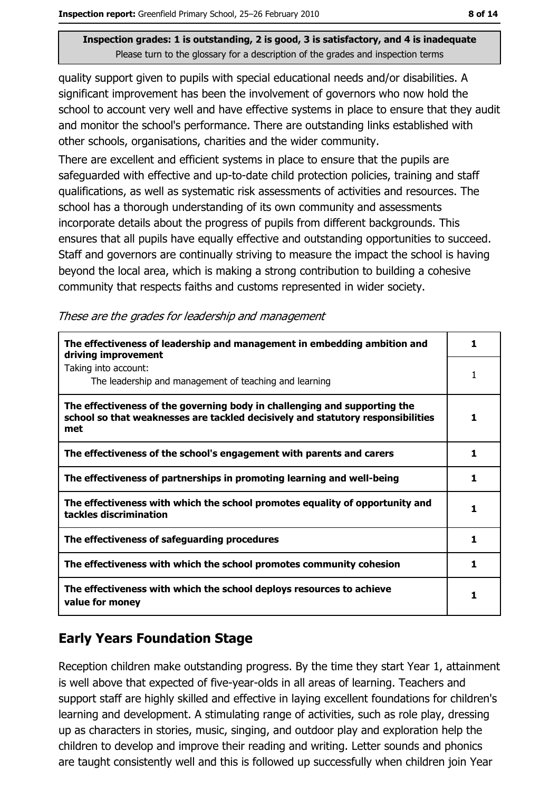quality support given to pupils with special educational needs and/or disabilities. A significant improvement has been the involvement of governors who now hold the school to account very well and have effective systems in place to ensure that they audit and monitor the school's performance. There are outstanding links established with other schools, organisations, charities and the wider community.

There are excellent and efficient systems in place to ensure that the pupils are safeguarded with effective and up-to-date child protection policies, training and staff qualifications, as well as systematic risk assessments of activities and resources. The school has a thorough understanding of its own community and assessments incorporate details about the progress of pupils from different backgrounds. This ensures that all pupils have equally effective and outstanding opportunities to succeed. Staff and governors are continually striving to measure the impact the school is having beyond the local area, which is making a strong contribution to building a cohesive community that respects faiths and customs represented in wider society.

|  | These are the grades for leadership and management |  |
|--|----------------------------------------------------|--|
|  |                                                    |  |

| The effectiveness of leadership and management in embedding ambition and<br>driving improvement                                                                     | ı  |
|---------------------------------------------------------------------------------------------------------------------------------------------------------------------|----|
| Taking into account:<br>The leadership and management of teaching and learning                                                                                      |    |
| The effectiveness of the governing body in challenging and supporting the<br>school so that weaknesses are tackled decisively and statutory responsibilities<br>met | 1  |
| The effectiveness of the school's engagement with parents and carers                                                                                                | 1  |
| The effectiveness of partnerships in promoting learning and well-being                                                                                              | 1  |
| The effectiveness with which the school promotes equality of opportunity and<br>tackles discrimination                                                              | 1  |
| The effectiveness of safeguarding procedures                                                                                                                        | 1  |
| The effectiveness with which the school promotes community cohesion                                                                                                 | 1. |
| The effectiveness with which the school deploys resources to achieve<br>value for money                                                                             |    |

## **Early Years Foundation Stage**

Reception children make outstanding progress. By the time they start Year 1, attainment is well above that expected of five-year-olds in all areas of learning. Teachers and support staff are highly skilled and effective in laying excellent foundations for children's learning and development. A stimulating range of activities, such as role play, dressing up as characters in stories, music, singing, and outdoor play and exploration help the children to develop and improve their reading and writing. Letter sounds and phonics are taught consistently well and this is followed up successfully when children join Year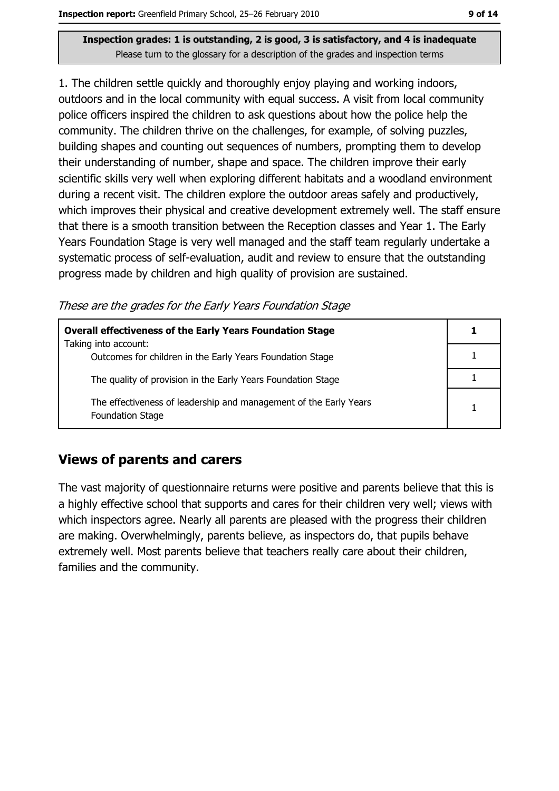1. The children settle quickly and thoroughly enjoy playing and working indoors, outdoors and in the local community with equal success. A visit from local community police officers inspired the children to ask questions about how the police help the community. The children thrive on the challenges, for example, of solving puzzles, building shapes and counting out sequences of numbers, prompting them to develop their understanding of number, shape and space. The children improve their early scientific skills very well when exploring different habitats and a woodland environment during a recent visit. The children explore the outdoor areas safely and productively, which improves their physical and creative development extremely well. The staff ensure that there is a smooth transition between the Reception classes and Year 1. The Early Years Foundation Stage is very well managed and the staff team regularly undertake a systematic process of self-evaluation, audit and review to ensure that the outstanding progress made by children and high quality of provision are sustained.

These are the grades for the Early Years Foundation Stage

| <b>Overall effectiveness of the Early Years Foundation Stage</b><br>Taking into account:     |  |
|----------------------------------------------------------------------------------------------|--|
| Outcomes for children in the Early Years Foundation Stage                                    |  |
| The quality of provision in the Early Years Foundation Stage                                 |  |
| The effectiveness of leadership and management of the Early Years<br><b>Foundation Stage</b> |  |

## **Views of parents and carers**

The vast majority of questionnaire returns were positive and parents believe that this is a highly effective school that supports and cares for their children very well; views with which inspectors agree. Nearly all parents are pleased with the progress their children are making. Overwhelmingly, parents believe, as inspectors do, that pupils behave extremely well. Most parents believe that teachers really care about their children, families and the community.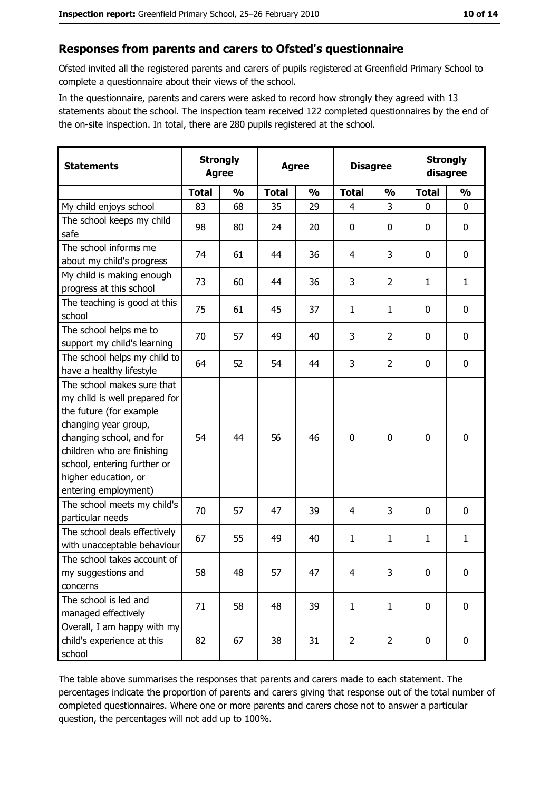#### Responses from parents and carers to Ofsted's questionnaire

Ofsted invited all the registered parents and carers of pupils registered at Greenfield Primary School to complete a questionnaire about their views of the school.

In the questionnaire, parents and carers were asked to record how strongly they agreed with 13 statements about the school. The inspection team received 122 completed questionnaires by the end of the on-site inspection. In total, there are 280 pupils registered at the school.

| <b>Statements</b>                                                                                                                                                                                                                                       | <b>Strongly</b><br><b>Agree</b> |               | <b>Agree</b> |               | <b>Disagree</b> |                | <b>Strongly</b><br>disagree |               |
|---------------------------------------------------------------------------------------------------------------------------------------------------------------------------------------------------------------------------------------------------------|---------------------------------|---------------|--------------|---------------|-----------------|----------------|-----------------------------|---------------|
|                                                                                                                                                                                                                                                         | <b>Total</b>                    | $\frac{0}{0}$ | <b>Total</b> | $\frac{0}{0}$ | <b>Total</b>    | $\frac{0}{0}$  | <b>Total</b>                | $\frac{0}{0}$ |
| My child enjoys school                                                                                                                                                                                                                                  | 83                              | 68            | 35           | 29            | $\overline{4}$  | 3              | $\mathbf 0$                 | $\mathbf 0$   |
| The school keeps my child<br>safe                                                                                                                                                                                                                       | 98                              | 80            | 24           | 20            | $\mathbf 0$     | 0              | 0                           | 0             |
| The school informs me<br>about my child's progress                                                                                                                                                                                                      | 74                              | 61            | 44           | 36            | 4               | 3              | 0                           | 0             |
| My child is making enough<br>progress at this school                                                                                                                                                                                                    | 73                              | 60            | 44           | 36            | 3               | $\overline{2}$ | 1                           | $\mathbf{1}$  |
| The teaching is good at this<br>school                                                                                                                                                                                                                  | 75                              | 61            | 45           | 37            | 1               | $\mathbf{1}$   | 0                           | $\mathbf 0$   |
| The school helps me to<br>support my child's learning                                                                                                                                                                                                   | 70                              | 57            | 49           | 40            | 3               | $\overline{2}$ | 0                           | $\mathbf 0$   |
| The school helps my child to<br>have a healthy lifestyle                                                                                                                                                                                                | 64                              | 52            | 54           | 44            | 3               | $\overline{2}$ | 0                           | $\mathbf 0$   |
| The school makes sure that<br>my child is well prepared for<br>the future (for example<br>changing year group,<br>changing school, and for<br>children who are finishing<br>school, entering further or<br>higher education, or<br>entering employment) | 54                              | 44            | 56           | 46            | $\mathbf 0$     | 0              | 0                           | $\mathbf 0$   |
| The school meets my child's<br>particular needs                                                                                                                                                                                                         | 70                              | 57            | 47           | 39            | 4               | 3              | 0                           | $\bf{0}$      |
| The school deals effectively<br>with unacceptable behaviour                                                                                                                                                                                             | 67                              | 55            | 49           | 40            | $\mathbf{1}$    | 1              | 1                           | $\mathbf{1}$  |
| The school takes account of<br>my suggestions and<br>concerns                                                                                                                                                                                           | 58                              | 48            | 57           | 47            | $\overline{4}$  | 3              | $\mathbf 0$                 | $\mathbf 0$   |
| The school is led and<br>managed effectively                                                                                                                                                                                                            | 71                              | 58            | 48           | 39            | $\mathbf{1}$    | $\mathbf{1}$   | $\mathbf 0$                 | $\mathbf 0$   |
| Overall, I am happy with my<br>child's experience at this<br>school                                                                                                                                                                                     | 82                              | 67            | 38           | 31            | $\overline{2}$  | $\overline{2}$ | 0                           | $\mathbf 0$   |

The table above summarises the responses that parents and carers made to each statement. The percentages indicate the proportion of parents and carers giving that response out of the total number of completed questionnaires. Where one or more parents and carers chose not to answer a particular question, the percentages will not add up to 100%.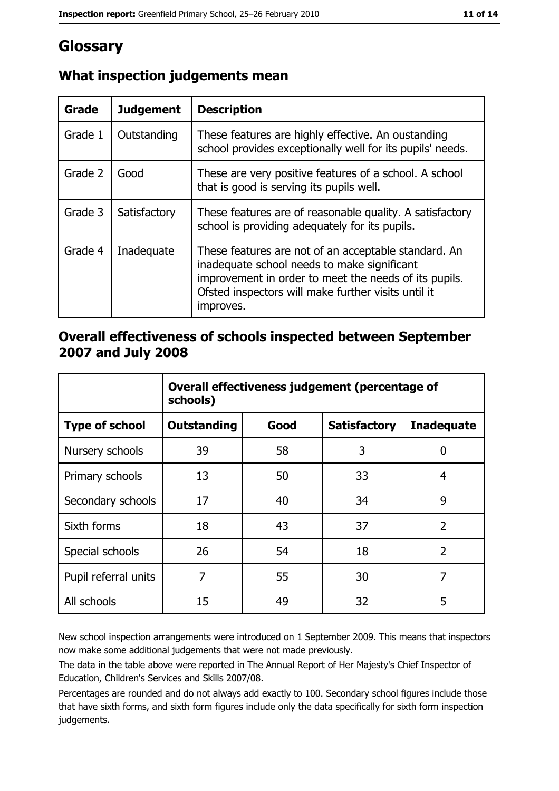# Glossary

| Grade   | <b>Judgement</b> | <b>Description</b>                                                                                                                                                                                                               |
|---------|------------------|----------------------------------------------------------------------------------------------------------------------------------------------------------------------------------------------------------------------------------|
| Grade 1 | Outstanding      | These features are highly effective. An oustanding<br>school provides exceptionally well for its pupils' needs.                                                                                                                  |
| Grade 2 | Good             | These are very positive features of a school. A school<br>that is good is serving its pupils well.                                                                                                                               |
| Grade 3 | Satisfactory     | These features are of reasonable quality. A satisfactory<br>school is providing adequately for its pupils.                                                                                                                       |
| Grade 4 | Inadequate       | These features are not of an acceptable standard. An<br>inadequate school needs to make significant<br>improvement in order to meet the needs of its pupils.<br>Ofsted inspectors will make further visits until it<br>improves. |

## What inspection judgements mean

## Overall effectiveness of schools inspected between September 2007 and July 2008

|                       | Overall effectiveness judgement (percentage of<br>schools) |      |                     |                   |
|-----------------------|------------------------------------------------------------|------|---------------------|-------------------|
| <b>Type of school</b> | <b>Outstanding</b>                                         | Good | <b>Satisfactory</b> | <b>Inadequate</b> |
| Nursery schools       | 39                                                         | 58   | 3                   | 0                 |
| Primary schools       | 13                                                         | 50   | 33                  | 4                 |
| Secondary schools     | 17                                                         | 40   | 34                  | 9                 |
| Sixth forms           | 18                                                         | 43   | 37                  | $\overline{2}$    |
| Special schools       | 26                                                         | 54   | 18                  | $\overline{2}$    |
| Pupil referral units  | 7                                                          | 55   | 30                  | 7                 |
| All schools           | 15                                                         | 49   | 32                  | 5                 |

New school inspection arrangements were introduced on 1 September 2009. This means that inspectors now make some additional judgements that were not made previously.

The data in the table above were reported in The Annual Report of Her Majesty's Chief Inspector of Education, Children's Services and Skills 2007/08.

Percentages are rounded and do not always add exactly to 100. Secondary school figures include those that have sixth forms, and sixth form figures include only the data specifically for sixth form inspection judgements.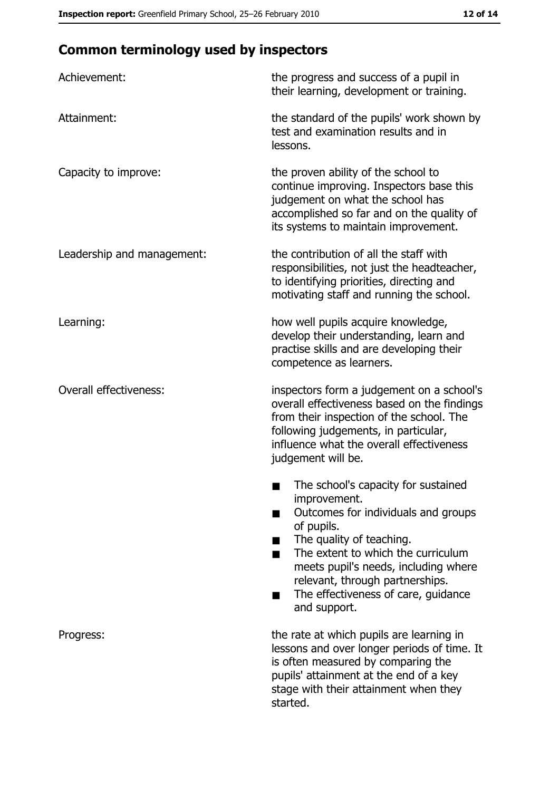# **Common terminology used by inspectors**

| Achievement:                  | the progress and success of a pupil in<br>their learning, development or training.                                                                                                                                                                                                                           |
|-------------------------------|--------------------------------------------------------------------------------------------------------------------------------------------------------------------------------------------------------------------------------------------------------------------------------------------------------------|
| Attainment:                   | the standard of the pupils' work shown by<br>test and examination results and in<br>lessons.                                                                                                                                                                                                                 |
| Capacity to improve:          | the proven ability of the school to<br>continue improving. Inspectors base this<br>judgement on what the school has<br>accomplished so far and on the quality of<br>its systems to maintain improvement.                                                                                                     |
| Leadership and management:    | the contribution of all the staff with<br>responsibilities, not just the headteacher,<br>to identifying priorities, directing and<br>motivating staff and running the school.                                                                                                                                |
| Learning:                     | how well pupils acquire knowledge,<br>develop their understanding, learn and<br>practise skills and are developing their<br>competence as learners.                                                                                                                                                          |
| <b>Overall effectiveness:</b> | inspectors form a judgement on a school's<br>overall effectiveness based on the findings<br>from their inspection of the school. The<br>following judgements, in particular,<br>influence what the overall effectiveness<br>judgement will be.                                                               |
|                               | The school's capacity for sustained<br>improvement.<br>Outcomes for individuals and groups<br>of pupils.<br>The quality of teaching.<br>The extent to which the curriculum<br>meets pupil's needs, including where<br>relevant, through partnerships.<br>The effectiveness of care, guidance<br>and support. |
| Progress:                     | the rate at which pupils are learning in<br>lessons and over longer periods of time. It<br>is often measured by comparing the<br>pupils' attainment at the end of a key<br>stage with their attainment when they<br>started.                                                                                 |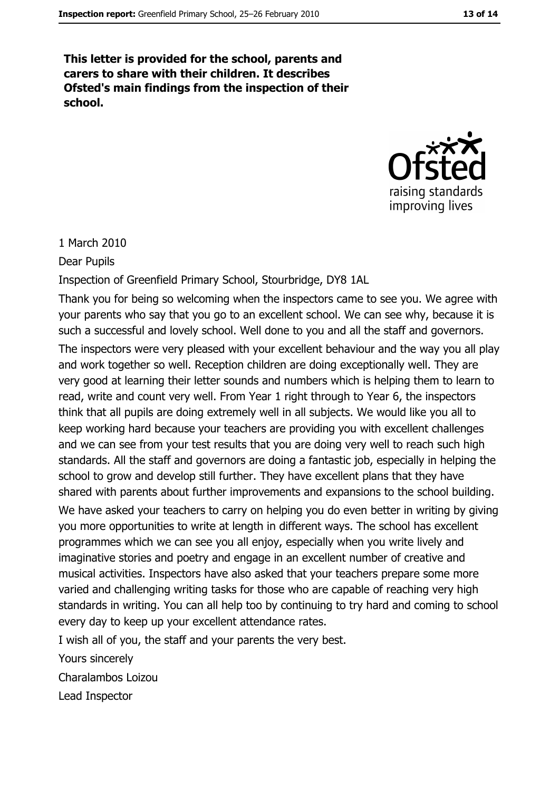This letter is provided for the school, parents and carers to share with their children. It describes Ofsted's main findings from the inspection of their school.



#### 1 March 2010

**Dear Pupils** 

Inspection of Greenfield Primary School, Stourbridge, DY8 1AL

Thank you for being so welcoming when the inspectors came to see you. We agree with your parents who say that you go to an excellent school. We can see why, because it is such a successful and lovely school. Well done to you and all the staff and governors. The inspectors were very pleased with your excellent behaviour and the way you all play and work together so well. Reception children are doing exceptionally well. They are very good at learning their letter sounds and numbers which is helping them to learn to read, write and count very well. From Year 1 right through to Year 6, the inspectors think that all pupils are doing extremely well in all subjects. We would like you all to keep working hard because your teachers are providing you with excellent challenges and we can see from your test results that you are doing very well to reach such high standards. All the staff and governors are doing a fantastic job, especially in helping the school to grow and develop still further. They have excellent plans that they have shared with parents about further improvements and expansions to the school building. We have asked your teachers to carry on helping you do even better in writing by giving you more opportunities to write at length in different ways. The school has excellent programmes which we can see you all enjoy, especially when you write lively and imaginative stories and poetry and engage in an excellent number of creative and musical activities. Inspectors have also asked that your teachers prepare some more varied and challenging writing tasks for those who are capable of reaching very high standards in writing. You can all help too by continuing to try hard and coming to school every day to keep up your excellent attendance rates.

I wish all of you, the staff and your parents the very best.

Yours sincerely

Charalambos Loizou

Lead Inspector